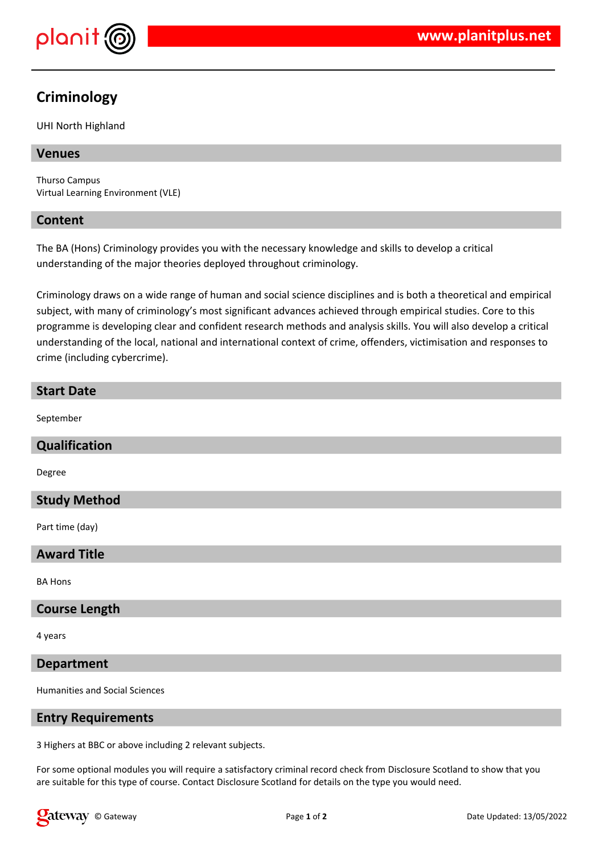

# **Criminology**

UHI North Highland

# **Venues**

Thurso Campus Virtual Learning Environment (VLE)

#### **Content**

The BA (Hons) Criminology provides you with the necessary knowledge and skills to develop a critical understanding of the major theories deployed throughout criminology.

Criminology draws on a wide range of human and social science disciplines and is both a theoretical and empirical subject, with many of criminology's most significant advances achieved through empirical studies. Core to this programme is developing clear and confident research methods and analysis skills. You will also develop a critical understanding of the local, national and international context of crime, offenders, victimisation and responses to crime (including cybercrime).

# **Start Date**

September

#### **Qualification**

Degree

#### **Study Method**

Part time (day)

# **Award Title**

BA Hons

#### **Course Length**

4 years

#### **Department**

Humanities and Social Sciences

#### **Entry Requirements**

3 Highers at BBC or above including 2 relevant subjects.

For some optional modules you will require a satisfactory criminal record check from Disclosure Scotland to show that you are suitable for this type of course. Contact Disclosure Scotland for details on the type you would need.